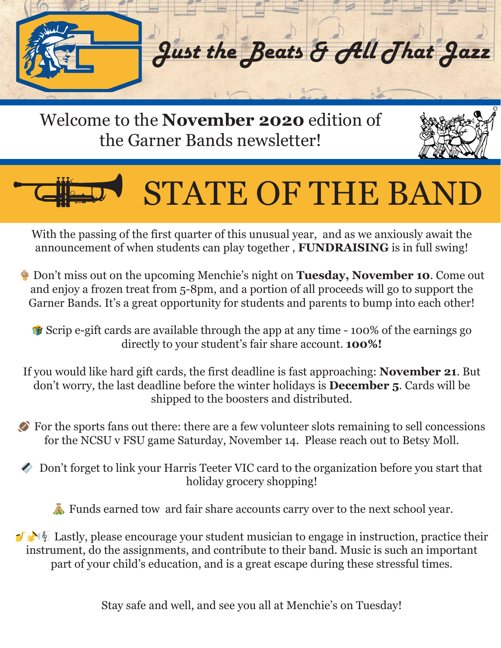

Welcome to the **November 2020** edition of the Garner Bands newsletter!



## STATE OF THE BAND

With the passing of the first quarter of this unusual year, and as we anxiously await the announcement of when students can play together , **FUNDRAISING** is in full swing!

 Don't miss out on the upcoming Menchie's night on **Tuesday, November 10**. Come out and enjoy a frozen treat from 5-8pm, and a portion of all proceeds will go to support the Garner Bands. It's a great opportunity for students and parents to bump into each other!

 Scrip e-gift cards are available through the app at any time - 100% of the earnings go directly to your student's fair share account. **100%!**

If you would like hard gift cards, the first deadline is fast approaching: **November 21**. But don't worry, the last deadline before the winter holidays is **December 5**. Cards will be shipped to the boosters and distributed.

 For the sports fans out there: there are a few volunteer slots remaining to sell concessions for the NCSU v FSU game Saturday, November 14. Please reach out to Betsy Moll.

 Don't forget to link your Harris Teeter VIC card to the organization before you start that holiday grocery shopping!

Funds earned tow ard fair share accounts carry over to the next school year.

 $\mathcal{L}$   $\mathbb{R}$  Lastly, please encourage your student musician to engage in instruction, practice their instrument, do the assignments, and contribute to their band. Music is such an important part of your child's education, and is a great escape during these stressful times.

Stay safe and well, and see you all at Menchie's on Tuesday!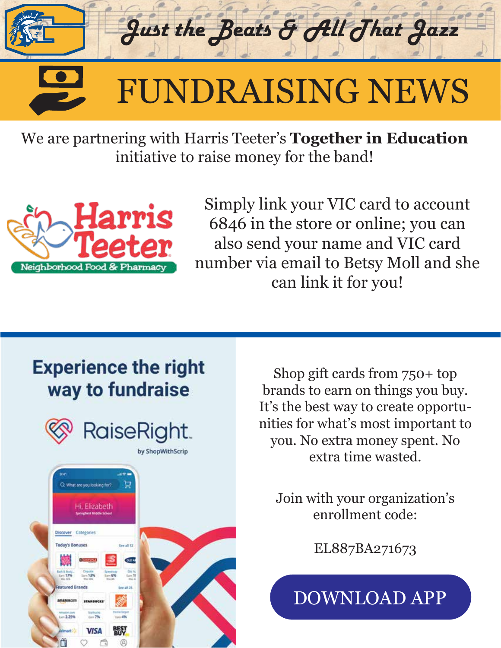

We are partnering with Harris Teeter's **Together in Education** initiative to raise money for the band!



Simply link your VIC card to account 6846 in the store or online; you can also send your name and VIC card number via email to Betsy Moll and she can link it for you!

## **Experience the right** way to fundraise





Shop gift cards from 750+ top brands to earn on things you buy. It's the best way to create opportunities for what's most important to you. No extra money spent. No extra time wasted.

Join with your organization's enrollment code:

EL887BA271673

[DOWNLOAD APP](https://shopwithscrip.page.link/?link=http%3A%2F%2Fraiseright.com&efr=1&apn=com.shopwithscrip.app&ibi=com.shopwithscrip.app&isi=1498234012)